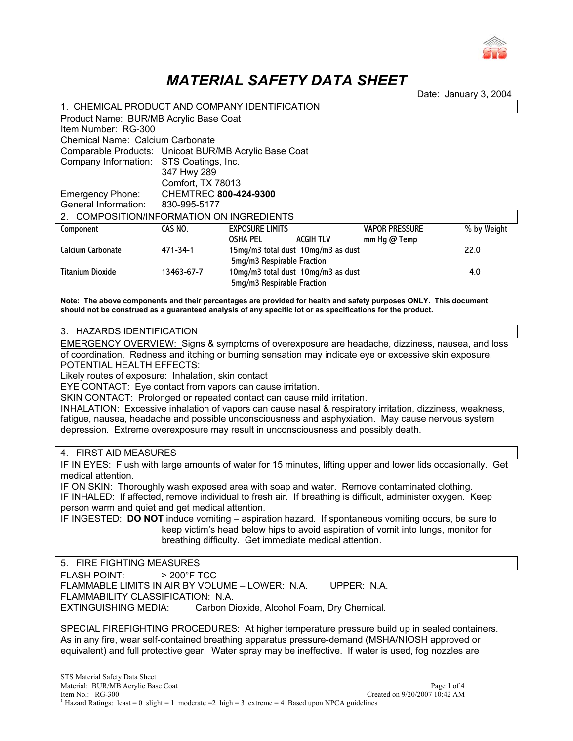

# *MATERIAL SAFETY DATA SHEET*

Date: January 3, 2004

| 1. CHEMICAL PRODUCT AND COMPANY IDENTIFICATION        |                                                       |                                    |                                    |                       |             |  |  |  |  |
|-------------------------------------------------------|-------------------------------------------------------|------------------------------------|------------------------------------|-----------------------|-------------|--|--|--|--|
| Product Name: BUR/MB Acrylic Base Coat                |                                                       |                                    |                                    |                       |             |  |  |  |  |
| Item Number: RG-300                                   |                                                       |                                    |                                    |                       |             |  |  |  |  |
| Chemical Name: Calcium Carbonate                      |                                                       |                                    |                                    |                       |             |  |  |  |  |
|                                                       | Comparable Products: Unicoat BUR/MB Acrylic Base Coat |                                    |                                    |                       |             |  |  |  |  |
| Company Information: STS Coatings, Inc.               |                                                       |                                    |                                    |                       |             |  |  |  |  |
|                                                       | 347 Hwy 289                                           |                                    |                                    |                       |             |  |  |  |  |
|                                                       | Comfort, TX 78013                                     |                                    |                                    |                       |             |  |  |  |  |
| Emergency Phone:                                      | <b>CHEMTREC 800-424-9300</b>                          |                                    |                                    |                       |             |  |  |  |  |
| General Information:                                  | 830-995-5177                                          |                                    |                                    |                       |             |  |  |  |  |
| COMPOSITION/INFORMATION ON INGREDIENTS<br>$2^{\circ}$ |                                                       |                                    |                                    |                       |             |  |  |  |  |
| Component                                             | CAS NO.                                               | <b>EXPOSURE LIMITS</b>             |                                    | <b>VAPOR PRESSURE</b> | % by Weight |  |  |  |  |
|                                                       |                                                       | <b>OSHA PEL</b>                    | <b>ACGIH TLV</b>                   | mm Hg@Temp            |             |  |  |  |  |
| Calcium Carbonate                                     | 471-34-1                                              |                                    | 15mg/m3 total dust 10mg/m3 as dust |                       | 22.0        |  |  |  |  |
|                                                       | 5mg/m3 Respirable Fraction                            |                                    |                                    |                       |             |  |  |  |  |
| <b>Titanium Dioxide</b>                               | 13463-67-7                                            | 10mg/m3 total dust 10mg/m3 as dust |                                    |                       | 4.0         |  |  |  |  |
|                                                       |                                                       | 5mg/m3 Respirable Fraction         |                                    |                       |             |  |  |  |  |

**Note: The above components and their percentages are provided for health and safety purposes ONLY. This document should not be construed as a guaranteed analysis of any specific lot or as specifications for the product.** 

#### 3. HAZARDS IDENTIFICATION

EMERGENCY OVERVIEW: Signs & symptoms of overexposure are headache, dizziness, nausea, and loss of coordination. Redness and itching or burning sensation may indicate eye or excessive skin exposure. POTENTIAL HEALTH EFFECTS:

Likely routes of exposure: Inhalation, skin contact

EYE CONTACT: Eye contact from vapors can cause irritation.

SKIN CONTACT: Prolonged or repeated contact can cause mild irritation.

INHALATION: Excessive inhalation of vapors can cause nasal & respiratory irritation, dizziness, weakness, fatigue, nausea, headache and possible unconsciousness and asphyxiation. May cause nervous system depression. Extreme overexposure may result in unconsciousness and possibly death.

## 4. FIRST AID MEASURES

IF IN EYES: Flush with large amounts of water for 15 minutes, lifting upper and lower lids occasionally. Get medical attention.

IF ON SKIN: Thoroughly wash exposed area with soap and water. Remove contaminated clothing. IF INHALED: If affected, remove individual to fresh air. If breathing is difficult, administer oxygen. Keep person warm and quiet and get medical attention.

IF INGESTED: **DO NOT** induce vomiting – aspiration hazard. If spontaneous vomiting occurs, be sure to keep victim's head below hips to avoid aspiration of vomit into lungs, monitor for breathing difficulty. Get immediate medical attention.

## 5. FIRE FIGHTING MEASURES

FLASH POINT: > 200°F TCC FLAMMABLE LIMITS IN AIR BY VOLUME – LOWER: N.A. UPPER: N.A. FLAMMABILITY CLASSIFICATION: N.A. EXTINGUISHING MEDIA: Carbon Dioxide, Alcohol Foam, Dry Chemical.

SPECIAL FIREFIGHTING PROCEDURES: At higher temperature pressure build up in sealed containers. As in any fire, wear self-contained breathing apparatus pressure-demand (MSHA/NIOSH approved or equivalent) and full protective gear. Water spray may be ineffective. If water is used, fog nozzles are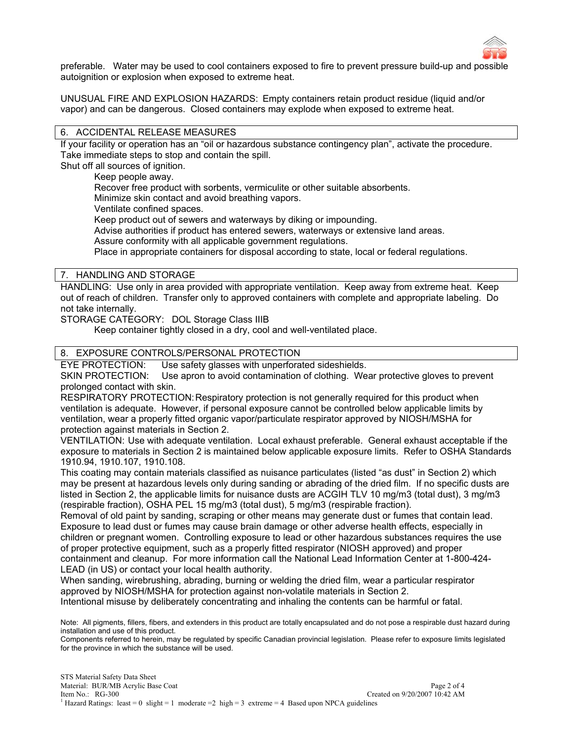

preferable. Water may be used to cool containers exposed to fire to prevent pressure build-up and possible autoignition or explosion when exposed to extreme heat.

UNUSUAL FIRE AND EXPLOSION HAZARDS: Empty containers retain product residue (liquid and/or vapor) and can be dangerous. Closed containers may explode when exposed to extreme heat.

## 6. ACCIDENTAL RELEASE MEASURES

If your facility or operation has an "oil or hazardous substance contingency plan", activate the procedure. Take immediate steps to stop and contain the spill.

Shut off all sources of ignition.

Keep people away.

Recover free product with sorbents, vermiculite or other suitable absorbents.

Minimize skin contact and avoid breathing vapors.

Ventilate confined spaces.

Keep product out of sewers and waterways by diking or impounding.

Advise authorities if product has entered sewers, waterways or extensive land areas.

Assure conformity with all applicable government regulations.

Place in appropriate containers for disposal according to state, local or federal regulations.

7. HANDLING AND STORAGE

HANDLING: Use only in area provided with appropriate ventilation. Keep away from extreme heat. Keep out of reach of children. Transfer only to approved containers with complete and appropriate labeling. Do not take internally.

STORAGE CATEGORY: DOL Storage Class IIIB

Keep container tightly closed in a dry, cool and well-ventilated place.

## 8. EXPOSURE CONTROLS/PERSONAL PROTECTION

EYE PROTECTION: Use safety glasses with unperforated sideshields.

SKIN PROTECTION: Use apron to avoid contamination of clothing. Wear protective gloves to prevent prolonged contact with skin.

RESPIRATORY PROTECTION: Respiratory protection is not generally required for this product when ventilation is adequate. However, if personal exposure cannot be controlled below applicable limits by ventilation, wear a properly fitted organic vapor/particulate respirator approved by NIOSH/MSHA for protection against materials in Section 2.

VENTILATION: Use with adequate ventilation. Local exhaust preferable. General exhaust acceptable if the exposure to materials in Section 2 is maintained below applicable exposure limits. Refer to OSHA Standards 1910.94, 1910.107, 1910.108.

This coating may contain materials classified as nuisance particulates (listed "as dust" in Section 2) which may be present at hazardous levels only during sanding or abrading of the dried film. If no specific dusts are listed in Section 2, the applicable limits for nuisance dusts are ACGIH TLV 10 mg/m3 (total dust), 3 mg/m3 (respirable fraction), OSHA PEL 15 mg/m3 (total dust), 5 mg/m3 (respirable fraction).

Removal of old paint by sanding, scraping or other means may generate dust or fumes that contain lead. Exposure to lead dust or fumes may cause brain damage or other adverse health effects, especially in children or pregnant women. Controlling exposure to lead or other hazardous substances requires the use of proper protective equipment, such as a properly fitted respirator (NIOSH approved) and proper containment and cleanup. For more information call the National Lead Information Center at 1-800-424- LEAD (in US) or contact your local health authority.

When sanding, wirebrushing, abrading, burning or welding the dried film, wear a particular respirator approved by NIOSH/MSHA for protection against non-volatile materials in Section 2.

Intentional misuse by deliberately concentrating and inhaling the contents can be harmful or fatal.

Note: All pigments, fillers, fibers, and extenders in this product are totally encapsulated and do not pose a respirable dust hazard during installation and use of this product.

Components referred to herein, may be regulated by specific Canadian provincial legislation. Please refer to exposure limits legislated for the province in which the substance will be used.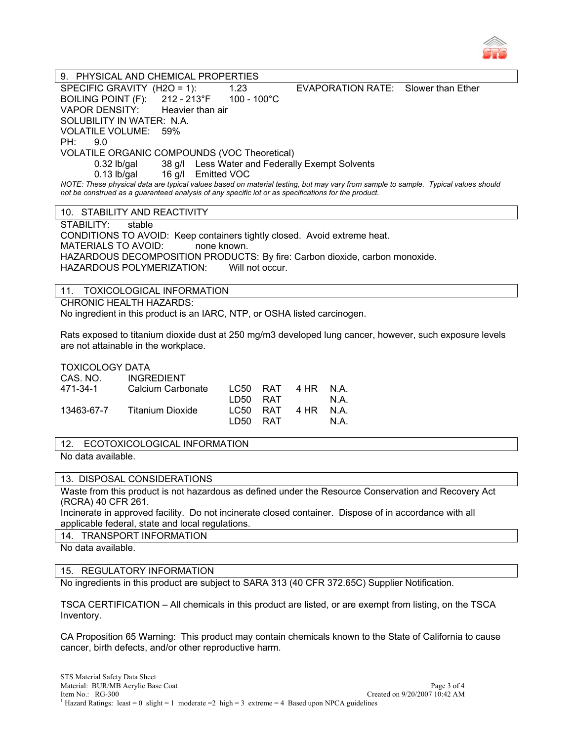

9. PHYSICAL AND CHEMICAL PROPERTIES SPECIFIC GRAVITY (H2O = 1): 1.23 EVAPORATION RATE: Slower than Ether BOILING POINT (F): 212 - 213°F 100 - 100°C VAPOR DENSITY: Heavier than air SOLUBILITY IN WATER: N.A. VOLATILE VOLUME: 59% PH: 9.0 VOLATILE ORGANIC COMPOUNDS (VOC Theoretical) 0.32 lb/gal 38 g/l Less Water and Federally Exempt Solvents 0.13 lb/gal 16 g/l Emitted VOC *NOTE: These physical data are typical values based on material testing, but may vary from sample to sample. Typical values should not be construed as a guaranteed analysis of any specific lot or as specifications for the product.* 

10. STABILITY AND REACTIVITY

STABILITY: stable CONDITIONS TO AVOID: Keep containers tightly closed. Avoid extreme heat. MATERIALS TO AVOID: none known. HAZARDOUS DECOMPOSITION PRODUCTS: By fire: Carbon dioxide, carbon monoxide. HAZARDOUS POLYMERIZATION: Will not occur.

# 11. TOXICOLOGICAL INFORMATION

CHRONIC HEALTH HAZARDS:

No ingredient in this product is an IARC, NTP, or OSHA listed carcinogen.

Rats exposed to titanium dioxide dust at 250 mg/m3 developed lung cancer, however, such exposure levels are not attainable in the workplace.

TOXICOLOGY DATA

| CAS. NO.   | <b>INGREDIENT</b> |          |                    |      |
|------------|-------------------|----------|--------------------|------|
| 471-34-1   | Calcium Carbonate |          | LC50 RAT 4 HR N.A. |      |
|            |                   | LD50 RAT |                    | N.A. |
| 13463-67-7 | Titanium Dioxide  |          | LC50 RAT 4 HR N.A. |      |
|            |                   | LD50 RAT |                    | N.A. |

12. ECOTOXICOLOGICAL INFORMATION

No data available.

## 13. DISPOSAL CONSIDERATIONS

Waste from this product is not hazardous as defined under the Resource Conservation and Recovery Act (RCRA) 40 CFR 261.

Incinerate in approved facility. Do not incinerate closed container. Dispose of in accordance with all applicable federal, state and local regulations.

14. TRANSPORT INFORMATION

No data available.

15. REGULATORY INFORMATION

No ingredients in this product are subject to SARA 313 (40 CFR 372.65C) Supplier Notification.

TSCA CERTIFICATION – All chemicals in this product are listed, or are exempt from listing, on the TSCA Inventory.

CA Proposition 65 Warning: This product may contain chemicals known to the State of California to cause cancer, birth defects, and/or other reproductive harm.